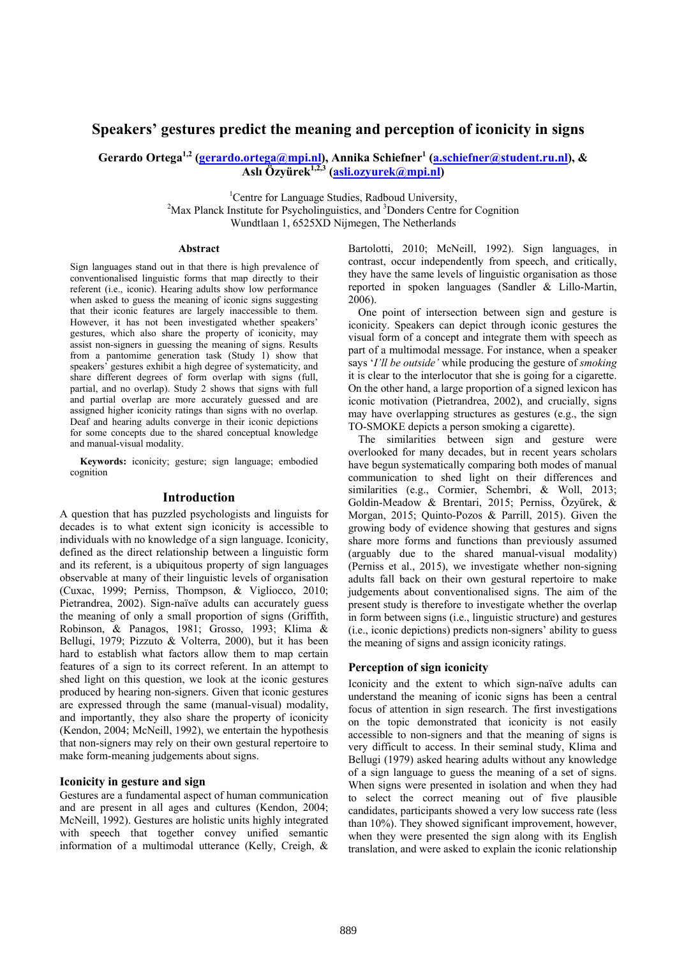# **Speakers' gestures predict the meaning and perception of iconicity in signs**

Gerardo Ortega<sup>1,2</sup> (<u>gerardo.ortega@mpi.nl),</u> Annika Schiefner<sup>1</sup> (<u>a.schiefner@student.ru.nl),</u> & **Aslı Özyürek1,2,3 (asli.ozyurek@mpi.nl)** 

> <sup>1</sup>Centre for Language Studies, Radboud University,  $^{2}$ May Planek Institute for Payabalinguisties, and <sup>3</sup>Danders Centre Max Planck Institute for Psycholinguistics, and <sup>3</sup>Donders Centre for Cognition Wundtlaan 1, 6525XD Nijmegen, The Netherlands

#### **Abstract**

Sign languages stand out in that there is high prevalence of conventionalised linguistic forms that map directly to their referent (i.e., iconic). Hearing adults show low performance when asked to guess the meaning of iconic signs suggesting that their iconic features are largely inaccessible to them. However, it has not been investigated whether speakers' gestures, which also share the property of iconicity, may assist non-signers in guessing the meaning of signs. Results from a pantomime generation task (Study 1) show that speakers' gestures exhibit a high degree of systematicity, and share different degrees of form overlap with signs (full, partial, and no overlap). Study 2 shows that signs with full and partial overlap are more accurately guessed and are assigned higher iconicity ratings than signs with no overlap. Deaf and hearing adults converge in their iconic depictions for some concepts due to the shared conceptual knowledge and manual-visual modality.

**Keywords:** iconicity; gesture; sign language; embodied cognition

#### **Introduction**

A question that has puzzled psychologists and linguists for decades is to what extent sign iconicity is accessible to individuals with no knowledge of a sign language. Iconicity, defined as the direct relationship between a linguistic form and its referent, is a ubiquitous property of sign languages observable at many of their linguistic levels of organisation (Cuxac, 1999; Perniss, Thompson, & Vigliocco, 2010; Pietrandrea, 2002). Sign-naïve adults can accurately guess the meaning of only a small proportion of signs (Griffith, Robinson, & Panagos, 1981; Grosso, 1993; Klima & Bellugi, 1979; Pizzuto & Volterra, 2000), but it has been hard to establish what factors allow them to map certain features of a sign to its correct referent. In an attempt to shed light on this question, we look at the iconic gestures produced by hearing non-signers. Given that iconic gestures are expressed through the same (manual-visual) modality, and importantly, they also share the property of iconicity (Kendon, 2004; McNeill, 1992), we entertain the hypothesis that non-signers may rely on their own gestural repertoire to make form-meaning judgements about signs.

### **Iconicity in gesture and sign**

Gestures are a fundamental aspect of human communication and are present in all ages and cultures (Kendon, 2004; McNeill, 1992). Gestures are holistic units highly integrated with speech that together convey unified semantic information of a multimodal utterance (Kelly, Creigh, &

Bartolotti, 2010; McNeill, 1992). Sign languages, in contrast, occur independently from speech, and critically, they have the same levels of linguistic organisation as those reported in spoken languages (Sandler & Lillo-Martin, 2006).

One point of intersection between sign and gesture is iconicity. Speakers can depict through iconic gestures the visual form of a concept and integrate them with speech as part of a multimodal message. For instance, when a speaker says '*I'll be outside'* while producing the gesture of *smoking* it is clear to the interlocutor that she is going for a cigarette. On the other hand, a large proportion of a signed lexicon has iconic motivation (Pietrandrea, 2002), and crucially, signs may have overlapping structures as gestures (e.g., the sign TO-SMOKE depicts a person smoking a cigarette).

The similarities between sign and gesture were overlooked for many decades, but in recent years scholars have begun systematically comparing both modes of manual communication to shed light on their differences and similarities (e.g., Cormier, Schembri, & Woll, 2013; Goldin-Meadow & Brentari, 2015; Perniss, Özyürek, & Morgan, 2015; Quinto-Pozos & Parrill, 2015). Given the growing body of evidence showing that gestures and signs share more forms and functions than previously assumed (arguably due to the shared manual-visual modality) (Perniss et al., 2015), we investigate whether non-signing adults fall back on their own gestural repertoire to make judgements about conventionalised signs. The aim of the present study is therefore to investigate whether the overlap in form between signs (i.e., linguistic structure) and gestures (i.e., iconic depictions) predicts non-signers' ability to guess the meaning of signs and assign iconicity ratings.

# **Perception of sign iconicity**

Iconicity and the extent to which sign-naïve adults can understand the meaning of iconic signs has been a central focus of attention in sign research. The first investigations on the topic demonstrated that iconicity is not easily accessible to non-signers and that the meaning of signs is very difficult to access. In their seminal study, Klima and Bellugi (1979) asked hearing adults without any knowledge of a sign language to guess the meaning of a set of signs. When signs were presented in isolation and when they had to select the correct meaning out of five plausible candidates, participants showed a very low success rate (less than 10%). They showed significant improvement, however, when they were presented the sign along with its English translation, and were asked to explain the iconic relationship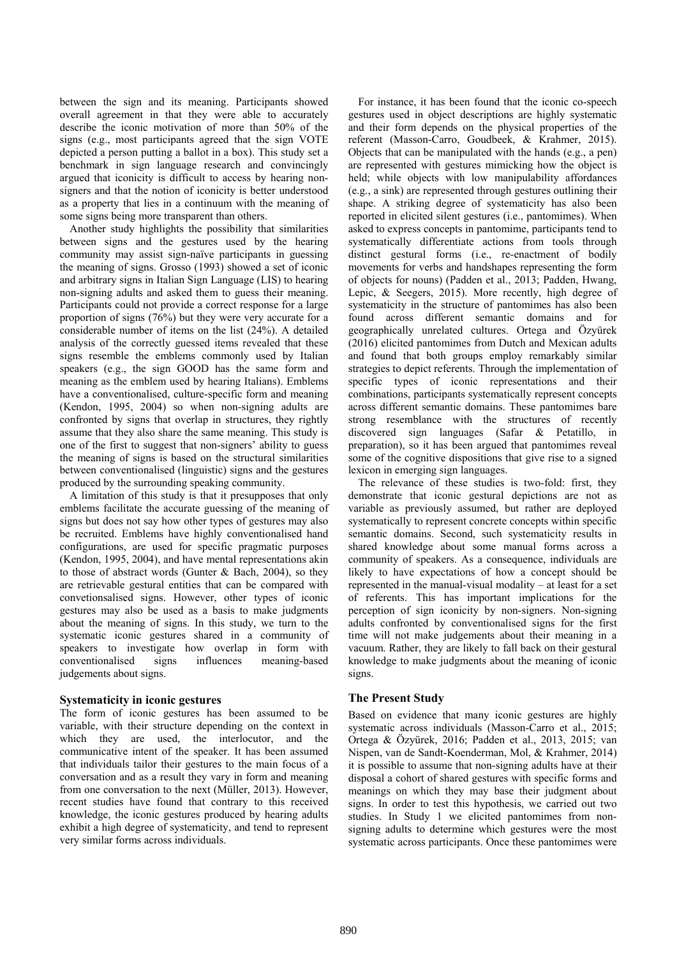between the sign and its meaning. Participants showed overall agreement in that they were able to accurately describe the iconic motivation of more than 50% of the signs (e.g., most participants agreed that the sign VOTE depicted a person putting a ballot in a box). This study set a benchmark in sign language research and convincingly argued that iconicity is difficult to access by hearing nonsigners and that the notion of iconicity is better understood as a property that lies in a continuum with the meaning of some signs being more transparent than others.

Another study highlights the possibility that similarities between signs and the gestures used by the hearing community may assist sign-naïve participants in guessing the meaning of signs. Grosso (1993) showed a set of iconic and arbitrary signs in Italian Sign Language (LIS) to hearing non-signing adults and asked them to guess their meaning. Participants could not provide a correct response for a large proportion of signs (76%) but they were very accurate for a considerable number of items on the list (24%). A detailed analysis of the correctly guessed items revealed that these signs resemble the emblems commonly used by Italian speakers (e.g., the sign GOOD has the same form and meaning as the emblem used by hearing Italians). Emblems have a conventionalised, culture-specific form and meaning (Kendon, 1995, 2004) so when non-signing adults are confronted by signs that overlap in structures, they rightly assume that they also share the same meaning. This study is one of the first to suggest that non-signers' ability to guess the meaning of signs is based on the structural similarities between conventionalised (linguistic) signs and the gestures produced by the surrounding speaking community.

A limitation of this study is that it presupposes that only emblems facilitate the accurate guessing of the meaning of signs but does not say how other types of gestures may also be recruited. Emblems have highly conventionalised hand configurations, are used for specific pragmatic purposes (Kendon, 1995, 2004), and have mental representations akin to those of abstract words (Gunter & Bach, 2004), so they are retrievable gestural entities that can be compared with convetionsalised signs. However, other types of iconic gestures may also be used as a basis to make judgments about the meaning of signs. In this study, we turn to the systematic iconic gestures shared in a community of speakers to investigate how overlap in form with conventionalised signs influences meaning-based judgements about signs.

# **Systematicity in iconic gestures**

The form of iconic gestures has been assumed to be variable, with their structure depending on the context in which they are used, the interlocutor, and the communicative intent of the speaker. It has been assumed that individuals tailor their gestures to the main focus of a conversation and as a result they vary in form and meaning from one conversation to the next (Müller, 2013). However, recent studies have found that contrary to this received knowledge, the iconic gestures produced by hearing adults exhibit a high degree of systematicity, and tend to represent very similar forms across individuals.

For instance, it has been found that the iconic co-speech gestures used in object descriptions are highly systematic and their form depends on the physical properties of the referent (Masson-Carro, Goudbeek, & Krahmer, 2015). Objects that can be manipulated with the hands (e.g., a pen) are represented with gestures mimicking how the object is held; while objects with low manipulability affordances (e.g., a sink) are represented through gestures outlining their shape. A striking degree of systematicity has also been reported in elicited silent gestures (i.e., pantomimes). When asked to express concepts in pantomime, participants tend to systematically differentiate actions from tools through distinct gestural forms (i.e., re-enactment of bodily movements for verbs and handshapes representing the form of objects for nouns) (Padden et al., 2013; Padden, Hwang, Lepic, & Seegers, 2015). More recently, high degree of systematicity in the structure of pantomimes has also been found across different semantic domains and for geographically unrelated cultures. Ortega and Özyürek (2016) elicited pantomimes from Dutch and Mexican adults and found that both groups employ remarkably similar strategies to depict referents. Through the implementation of specific types of iconic representations and their combinations, participants systematically represent concepts across different semantic domains. These pantomimes bare strong resemblance with the structures of recently discovered sign languages (Safar & Petatillo, in preparation), so it has been argued that pantomimes reveal some of the cognitive dispositions that give rise to a signed lexicon in emerging sign languages.

The relevance of these studies is two-fold: first, they demonstrate that iconic gestural depictions are not as variable as previously assumed, but rather are deployed systematically to represent concrete concepts within specific semantic domains. Second, such systematicity results in shared knowledge about some manual forms across a community of speakers. As a consequence, individuals are likely to have expectations of how a concept should be represented in the manual-visual modality – at least for a set of referents. This has important implications for the perception of sign iconicity by non-signers. Non-signing adults confronted by conventionalised signs for the first time will not make judgements about their meaning in a vacuum. Rather, they are likely to fall back on their gestural knowledge to make judgments about the meaning of iconic signs.

# **The Present Study**

Based on evidence that many iconic gestures are highly systematic across individuals (Masson-Carro et al., 2015; Ortega & Özyürek, 2016; Padden et al., 2013, 2015; van Nispen, van de Sandt-Koenderman, Mol, & Krahmer, 2014) it is possible to assume that non-signing adults have at their disposal a cohort of shared gestures with specific forms and meanings on which they may base their judgment about signs. In order to test this hypothesis, we carried out two studies. In Study 1 we elicited pantomimes from nonsigning adults to determine which gestures were the most systematic across participants. Once these pantomimes were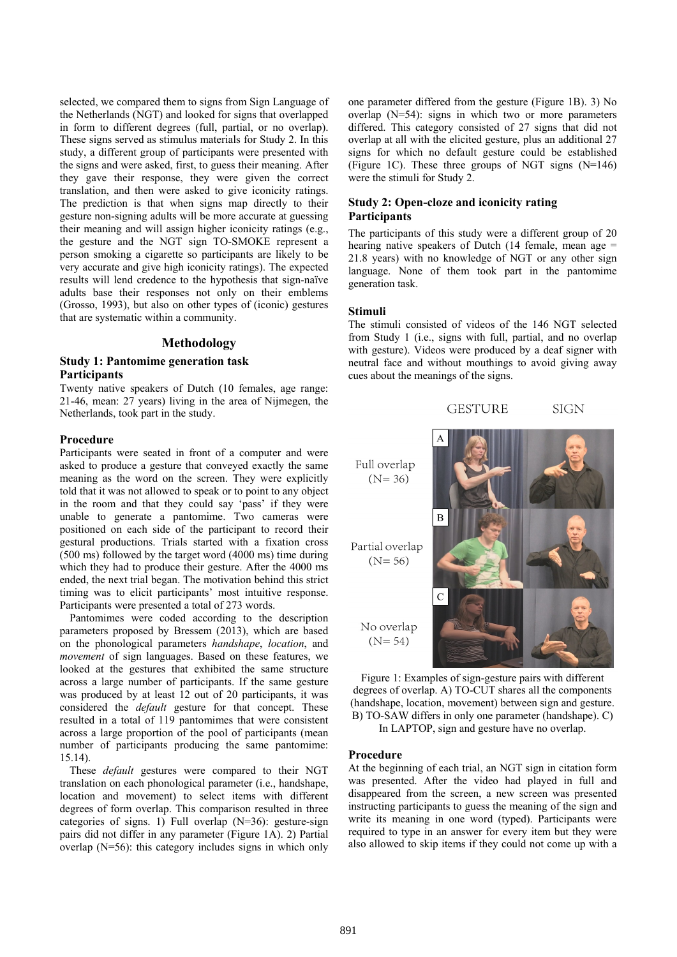selected, we compared them to signs from Sign Language of the Netherlands (NGT) and looked for signs that overlapped in form to different degrees (full, partial, or no overlap). These signs served as stimulus materials for Study 2. In this study, a different group of participants were presented with the signs and were asked, first, to guess their meaning. After they gave their response, they were given the correct translation, and then were asked to give iconicity ratings. The prediction is that when signs map directly to their gesture non-signing adults will be more accurate at guessing their meaning and will assign higher iconicity ratings (e.g., the gesture and the NGT sign TO-SMOKE represent a person smoking a cigarette so participants are likely to be very accurate and give high iconicity ratings). The expected results will lend credence to the hypothesis that sign-naïve adults base their responses not only on their emblems (Grosso, 1993), but also on other types of (iconic) gestures that are systematic within a community.

## **Methodology**

# **Study 1: Pantomime generation task Participants**

Twenty native speakers of Dutch (10 females, age range: 21-46, mean: 27 years) living in the area of Nijmegen, the Netherlands, took part in the study.

## **Procedure**

Participants were seated in front of a computer and were asked to produce a gesture that conveyed exactly the same meaning as the word on the screen. They were explicitly told that it was not allowed to speak or to point to any object in the room and that they could say 'pass' if they were unable to generate a pantomime. Two cameras were positioned on each side of the participant to record their gestural productions. Trials started with a fixation cross (500 ms) followed by the target word (4000 ms) time during which they had to produce their gesture. After the 4000 ms ended, the next trial began. The motivation behind this strict timing was to elicit participants' most intuitive response. Participants were presented a total of 273 words.

Pantomimes were coded according to the description parameters proposed by Bressem (2013), which are based on the phonological parameters *handshape*, *location*, and *movement* of sign languages. Based on these features, we looked at the gestures that exhibited the same structure across a large number of participants. If the same gesture was produced by at least 12 out of 20 participants, it was considered the *default* gesture for that concept. These resulted in a total of 119 pantomimes that were consistent across a large proportion of the pool of participants (mean number of participants producing the same pantomime: 15.14).

These *default* gestures were compared to their NGT translation on each phonological parameter (i.e., handshape, location and movement) to select items with different degrees of form overlap. This comparison resulted in three categories of signs. 1) Full overlap (N=36): gesture-sign pairs did not differ in any parameter (Figure 1A). 2) Partial overlap (N=56): this category includes signs in which only one parameter differed from the gesture (Figure 1B). 3) No overlap (N=54): signs in which two or more parameters differed. This category consisted of 27 signs that did not overlap at all with the elicited gesture, plus an additional 27 signs for which no default gesture could be established (Figure 1C). These three groups of NGT signs (N=146) were the stimuli for Study 2.

## **Study 2: Open-cloze and iconicity rating Participants**

The participants of this study were a different group of 20 hearing native speakers of Dutch  $(14 \text{ female})$ , mean age = 21.8 years) with no knowledge of NGT or any other sign language. None of them took part in the pantomime generation task.

#### **Stimuli**

The stimuli consisted of videos of the 146 NGT selected from Study 1 (i.e., signs with full, partial, and no overlap with gesture). Videos were produced by a deaf signer with neutral face and without mouthings to avoid giving away cues about the meanings of the signs.

**GESTURE** 

**SIGN** 



Figure 1: Examples of sign-gesture pairs with different degrees of overlap. A) TO-CUT shares all the components (handshape, location, movement) between sign and gesture. B) TO-SAW differs in only one parameter (handshape). C)

In LAPTOP, sign and gesture have no overlap.

#### **Procedure**

At the beginning of each trial, an NGT sign in citation form was presented. After the video had played in full and disappeared from the screen, a new screen was presented instructing participants to guess the meaning of the sign and write its meaning in one word (typed). Participants were required to type in an answer for every item but they were also allowed to skip items if they could not come up with a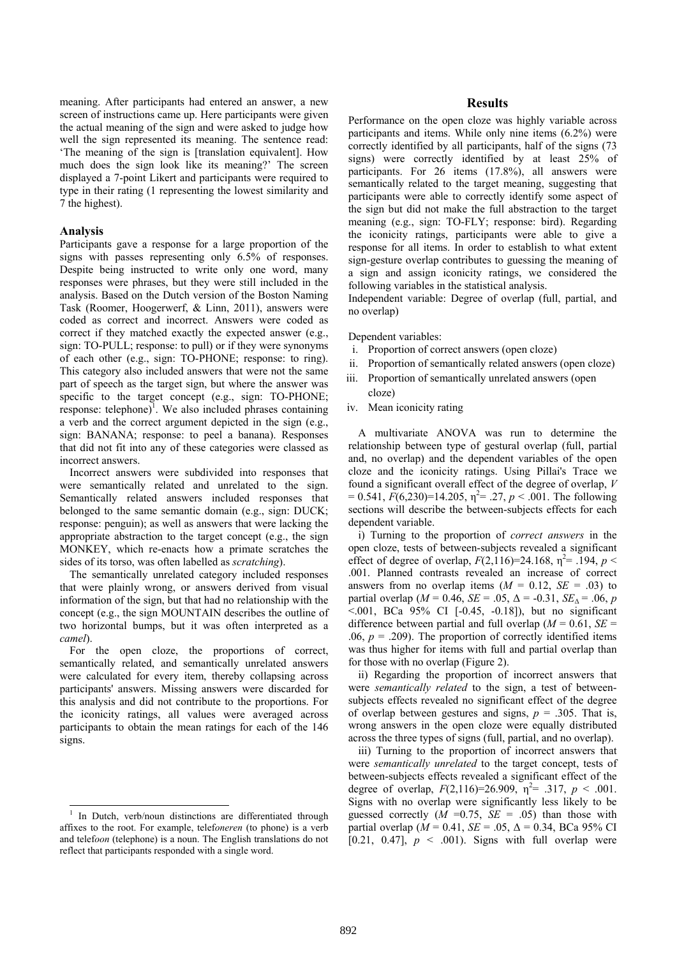meaning. After participants had entered an answer, a new screen of instructions came up. Here participants were given the actual meaning of the sign and were asked to judge how well the sign represented its meaning. The sentence read: 'The meaning of the sign is [translation equivalent]. How much does the sign look like its meaning?' The screen displayed a 7-point Likert and participants were required to type in their rating (1 representing the lowest similarity and 7 the highest).

### **Analysis**

 $\overline{a}$ 

Participants gave a response for a large proportion of the signs with passes representing only 6.5% of responses. Despite being instructed to write only one word, many responses were phrases, but they were still included in the analysis. Based on the Dutch version of the Boston Naming Task (Roomer, Hoogerwerf, & Linn, 2011), answers were coded as correct and incorrect. Answers were coded as correct if they matched exactly the expected answer (e.g., sign: TO-PULL; response: to pull) or if they were synonyms of each other (e.g., sign: TO-PHONE; response: to ring). This category also included answers that were not the same part of speech as the target sign, but where the answer was specific to the target concept (e.g., sign: TO-PHONE; response: telephone $\overline{a}$ . We also included phrases containing a verb and the correct argument depicted in the sign (e.g., sign: BANANA; response: to peel a banana). Responses that did not fit into any of these categories were classed as incorrect answers.

Incorrect answers were subdivided into responses that were semantically related and unrelated to the sign. Semantically related answers included responses that belonged to the same semantic domain (e.g., sign: DUCK; response: penguin); as well as answers that were lacking the appropriate abstraction to the target concept (e.g., the sign MONKEY, which re-enacts how a primate scratches the sides of its torso, was often labelled as *scratching*).

The semantically unrelated category included responses that were plainly wrong, or answers derived from visual information of the sign, but that had no relationship with the concept (e.g., the sign MOUNTAIN describes the outline of two horizontal bumps, but it was often interpreted as a *camel*).

For the open cloze, the proportions of correct, semantically related, and semantically unrelated answers were calculated for every item, thereby collapsing across participants' answers. Missing answers were discarded for this analysis and did not contribute to the proportions. For the iconicity ratings, all values were averaged across participants to obtain the mean ratings for each of the 146 signs.

### **Results**

Performance on the open cloze was highly variable across participants and items. While only nine items (6.2%) were correctly identified by all participants, half of the signs (73 signs) were correctly identified by at least 25% of participants. For 26 items (17.8%), all answers were semantically related to the target meaning, suggesting that participants were able to correctly identify some aspect of the sign but did not make the full abstraction to the target meaning (e.g., sign: TO-FLY; response: bird). Regarding the iconicity ratings, participants were able to give a response for all items. In order to establish to what extent sign-gesture overlap contributes to guessing the meaning of a sign and assign iconicity ratings, we considered the following variables in the statistical analysis.

Independent variable: Degree of overlap (full, partial, and no overlap)

Dependent variables:

- i. Proportion of correct answers (open cloze)
- ii. Proportion of semantically related answers (open cloze)
- iii. Proportion of semantically unrelated answers (open cloze)
- iv. Mean iconicity rating

A multivariate ANOVA was run to determine the relationship between type of gestural overlap (full, partial and, no overlap) and the dependent variables of the open cloze and the iconicity ratings. Using Pillai's Trace we found a significant overall effect of the degree of overlap, *V*  $= 0.541, F(6,230)=14.205, \eta^2 = .27, p < .001$ . The following sections will describe the between-subjects effects for each dependent variable.

i) Turning to the proportion of *correct answers* in the open cloze, tests of between-subjects revealed a significant effect of degree of overlap,  $F(2,116)=24.168$ ,  $\eta^2 = .194$ ,  $p <$ .001. Planned contrasts revealed an increase of correct answers from no overlap items  $(M = 0.12, SE = .03)$  to partial overlap ( $M = 0.46$ ,  $SE = .05$ ,  $\Delta = -0.31$ ,  $SE_{\Delta} = .06$ , *p*  $\sim$ .001, BCa 95% CI [-0.45, -0.18]), but no significant difference between partial and full overlap ( $M = 0.61$ ,  $SE =$ .06,  $p = .209$ ). The proportion of correctly identified items was thus higher for items with full and partial overlap than for those with no overlap (Figure 2).

ii) Regarding the proportion of incorrect answers that were *semantically related* to the sign, a test of betweensubjects effects revealed no significant effect of the degree of overlap between gestures and signs,  $p = .305$ . That is, wrong answers in the open cloze were equally distributed across the three types of signs (full, partial, and no overlap).

iii) Turning to the proportion of incorrect answers that were *semantically unrelated* to the target concept, tests of between-subjects effects revealed a significant effect of the degree of overlap,  $F(2,116)=26.909$ ,  $\eta^2 = .317$ ,  $p < .001$ . Signs with no overlap were significantly less likely to be guessed correctly  $(M = 0.75, SE = .05)$  than those with partial overlap ( $M = 0.41$ ,  $SE = .05$ ,  $\Delta = 0.34$ , BCa 95% CI [0.21, 0.47],  $p \leq 0.001$ . Signs with full overlap were

<sup>1</sup> In Dutch, verb/noun distinctions are differentiated through affixes to the root. For example, telef*oneren* (to phone) is a verb and telef*oon* (telephone) is a noun. The English translations do not reflect that participants responded with a single word.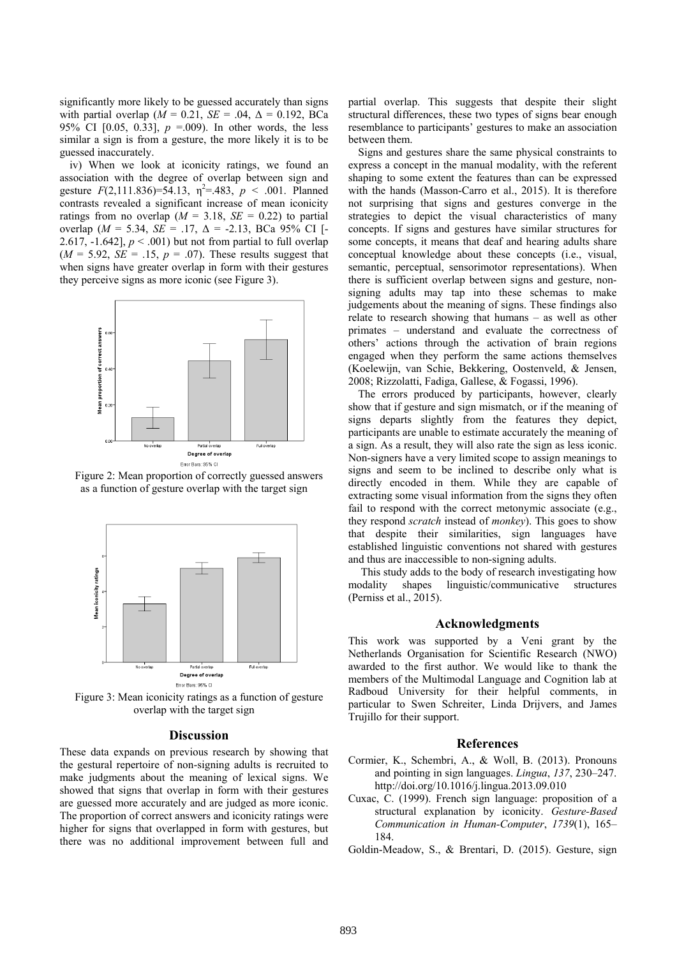significantly more likely to be guessed accurately than signs with partial overlap ( $M = 0.21$ ,  $SE = .04$ ,  $\Delta = 0.192$ , BCa 95% CI [0.05, 0.33], *p* =.009). In other words, the less similar a sign is from a gesture, the more likely it is to be guessed inaccurately.

iv) When we look at iconicity ratings, we found an association with the degree of overlap between sign and gesture  $F(2,111.836)=54.13$ ,  $\eta^2 = .483$ ,  $p < .001$ . Planned contrasts revealed a significant increase of mean iconicity ratings from no overlap  $(M = 3.18, SE = 0.22)$  to partial overlap ( $M = 5.34$ ,  $SE = .17$ ,  $\Delta = -2.13$ , BCa 95% CI [-2.617,  $-1.642$ ],  $p < .001$ ) but not from partial to full overlap  $(M = 5.92, SE = .15, p = .07)$ . These results suggest that when signs have greater overlap in form with their gestures they perceive signs as more iconic (see Figure 3).



Figure 2: Mean proportion of correctly guessed answers as a function of gesture overlap with the target sign



Figure 3: Mean iconicity ratings as a function of gesture overlap with the target sign

#### **Discussion**

These data expands on previous research by showing that the gestural repertoire of non-signing adults is recruited to make judgments about the meaning of lexical signs. We showed that signs that overlap in form with their gestures are guessed more accurately and are judged as more iconic. The proportion of correct answers and iconicity ratings were higher for signs that overlapped in form with gestures, but there was no additional improvement between full and partial overlap. This suggests that despite their slight structural differences, these two types of signs bear enough resemblance to participants' gestures to make an association between them.

Signs and gestures share the same physical constraints to express a concept in the manual modality, with the referent shaping to some extent the features than can be expressed with the hands (Masson-Carro et al., 2015). It is therefore not surprising that signs and gestures converge in the strategies to depict the visual characteristics of many concepts. If signs and gestures have similar structures for some concepts, it means that deaf and hearing adults share conceptual knowledge about these concepts (i.e., visual, semantic, perceptual, sensorimotor representations). When there is sufficient overlap between signs and gesture, nonsigning adults may tap into these schemas to make judgements about the meaning of signs. These findings also relate to research showing that humans – as well as other primates – understand and evaluate the correctness of others' actions through the activation of brain regions engaged when they perform the same actions themselves (Koelewijn, van Schie, Bekkering, Oostenveld, & Jensen, 2008; Rizzolatti, Fadiga, Gallese, & Fogassi, 1996).

The errors produced by participants, however, clearly show that if gesture and sign mismatch, or if the meaning of signs departs slightly from the features they depict, participants are unable to estimate accurately the meaning of a sign. As a result, they will also rate the sign as less iconic. Non-signers have a very limited scope to assign meanings to signs and seem to be inclined to describe only what is directly encoded in them. While they are capable of extracting some visual information from the signs they often fail to respond with the correct metonymic associate (e.g., they respond *scratch* instead of *monkey*). This goes to show that despite their similarities, sign languages have established linguistic conventions not shared with gestures and thus are inaccessible to non-signing adults.

 This study adds to the body of research investigating how modality shapes linguistic/communicative structures (Perniss et al., 2015).

#### **Acknowledgments**

This work was supported by a Veni grant by the Netherlands Organisation for Scientific Research (NWO) awarded to the first author. We would like to thank the members of the Multimodal Language and Cognition lab at Radboud University for their helpful comments, in particular to Swen Schreiter, Linda Drijvers, and James Trujillo for their support.

### **References**

- Cormier, K., Schembri, A., & Woll, B. (2013). Pronouns and pointing in sign languages. *Lingua*, *137*, 230–247. http://doi.org/10.1016/j.lingua.2013.09.010
- Cuxac, C. (1999). French sign language: proposition of a structural explanation by iconicity. *Gesture-Based Communication in Human-Computer*, *1739*(1), 165– 184.
- Goldin-Meadow, S., & Brentari, D. (2015). Gesture, sign